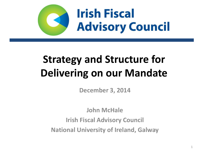

# **Strategy and Structure for Delivering on our Mandate**

**December 3, 2014**

**John McHale Irish Fiscal Advisory Council National University of Ireland, Galway**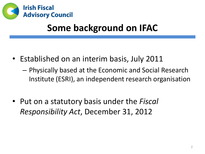

## **Some background on IFAC**

- Established on an interim basis, July 2011
	- Physically based at the Economic and Social Research Institute (ESRI), an independent research organisation
- Put on a statutory basis under the *Fiscal Responsibility Act*, December 31, 2012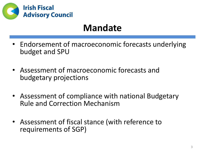

## **Mandate**

- Endorsement of macroeconomic forecasts underlying budget and SPU
- Assessment of macroeconomic forecasts and budgetary projections
- Assessment of compliance with national Budgetary Rule and Correction Mechanism
- Assessment of fiscal stance (with reference to requirements of SGP)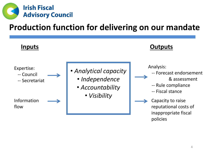

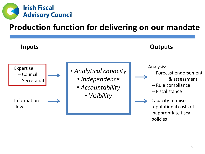

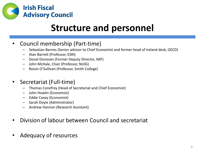

## **Structure and personnel**

#### • Council membership (Part-time)

- Sebastian Barnes (Senior advisor to Chief Economist and former head of Ireland desk, OECD)
- Alan Barrett (Professor, ESRI)
- Donal Donovan (Former Deputy Director, IMF)
- John McHale, Chair (Professor, NUIG)
- Roisin O'Sullivan (Professor, Smith College)

#### • Secretariat (Full-time)

- Thomas Conefrey (Head of Secretariat and Chief Economist)
- John Howlin (Economist)
- Eddie Casey (Economist)
- Sarah Doyle (Administrator)
- Andrew Hannon (Research Assistant)
- Division of labour between Council and secretariat
- Adequacy of resources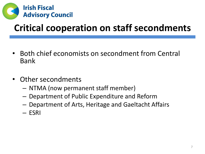

## **Critical cooperation on staff secondments**

- Both chief economists on secondment from Central Bank
- Other secondments
	- NTMA (now permanent staff member)
	- Department of Public Expenditure and Reform
	- Department of Arts, Heritage and Gaeltacht Affairs
	- ESRI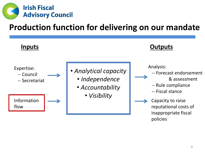

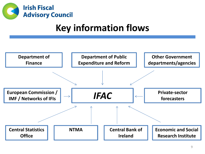

## **Key information flows**

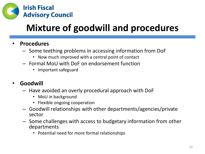

# **Mixture of goodwill and procedures**

#### • **Procedures**

- Some teething problems in accessing information from DoF
	- Now much improved with a central point of contact
- Formal MoU with DoF on endorsement function
	- Important safeguard

#### • **Goodwill**

- Have avoided an overly procedural approach with DoF
	- MoU in background
	- Flexible ongoing cooperation
- Goodwill relationships with other departments/agencies/private sector
- Some challenges with access to budgetary information from other departments
	- Potential need for more formal relationships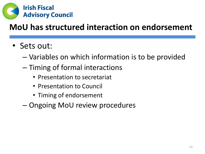

## **MoU has structured interaction on endorsement**

- Sets out:
	- Variables on which information is to be provided
	- Timing of formal interactions
		- Presentation to secretariat
		- Presentation to Council
		- Timing of endorsement
	- Ongoing MoU review procedures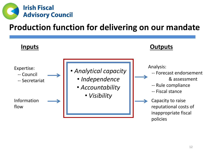

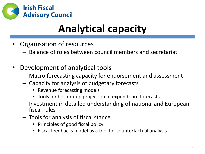

# **Analytical capacity**

- Organisation of resources
	- Balance of roles between council members and secretariat
- Development of analytical tools
	- Macro forecasting capacity for endorsement and assessment
	- Capacity for analysis of budgetary forecasts
		- Revenue forecasting models
		- Tools for bottom-up projection of expenditure forecasts
	- Investment in detailed understanding of national and European fiscal rules
	- Tools for analysis of fiscal stance
		- Principles of good fiscal policy
		- Fiscal feedbacks model as a tool for counterfactual analysis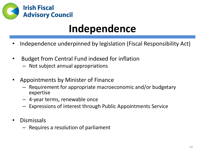

# **Independence**

- Independence underpinned by legislation (Fiscal Responsibility Act)
- Budget from Central Fund indexed for inflation
	- Not subject annual appropriations
- Appointments by Minister of Finance
	- Requirement for appropriate macroeconomic and/or budgetary expertise
	- 4-year terms, renewable once
	- Expressions of interest through Public Appointments Service
- Dismissals
	- Requires a resolution of parliament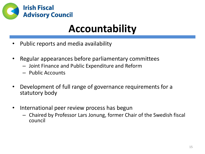

# **Accountability**

- Public reports and media availability
- Regular appearances before parliamentary committees
	- Joint Finance and Public Expenditure and Reform
	- Public Accounts
- Development of full range of governance requirements for a statutory body
- International peer review process has begun
	- Chaired by Professor Lars Jonung, former Chair of the Swedish fiscal council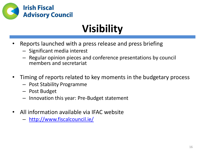

# **Visibility**

- Reports launched with a press release and press briefing
	- Significant media interest
	- Regular opinion pieces and conference presentations by council members and secretariat
- Timing of reports related to key moments in the budgetary process
	- Post Stability Programme
	- Post Budget
	- Innovation this year: Pre-Budget statement
- All information available via IFAC website
	- <http://www.fiscalcouncil.ie/>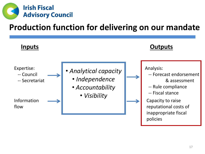

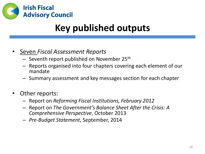

## **Key published outputs**

- Seven *Fiscal Assessment Reports* 
	- $-$  Seventh report published on November 25<sup>th</sup>
	- Reports organised into four chapters covering each element of our mandate
	- Summary assessment and key messages section for each chapter
- Other reports:
	- Report on *Reforming Fiscal Institutions, February 2012*
	- Report on *The Government's Balance Sheet After the Crisis: A Comprehensive Perspective*, October 2013
	- *Pre-Budget Statement*, September, 2014